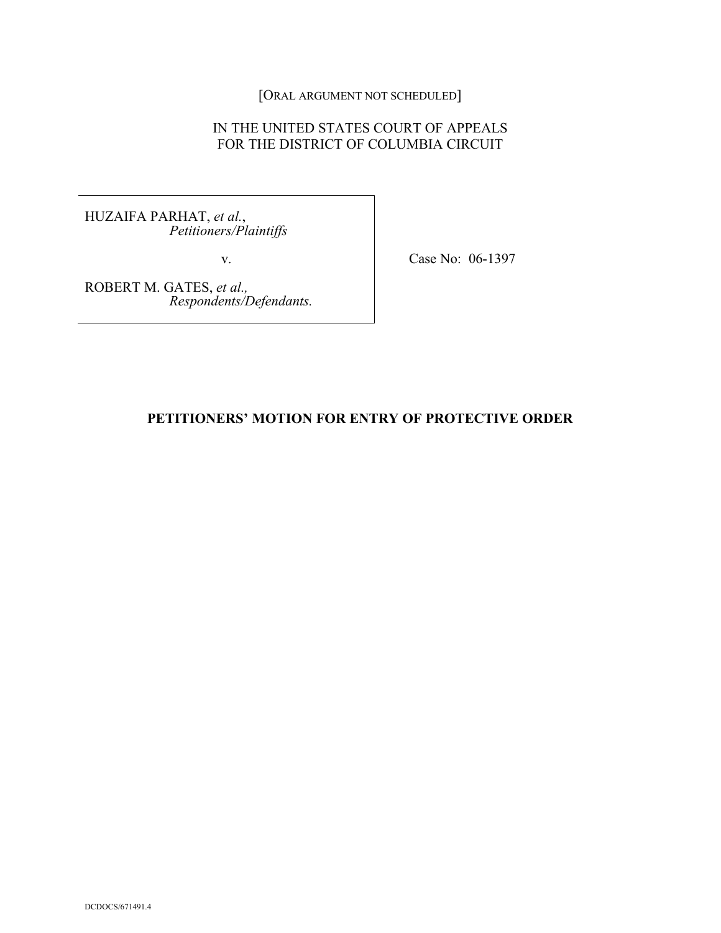[ORAL ARGUMENT NOT SCHEDULED]

# IN THE UNITED STATES COURT OF APPEALS FOR THE DISTRICT OF COLUMBIA CIRCUIT

HUZAIFA PARHAT, *et al.*, *Petitioners/Plaintiffs*

v. Case No: 06-1397

ROBERT M. GATES, *et al., Respondents/Defendants.*

## **PETITIONERS' MOTION FOR ENTRY OF PROTECTIVE ORDER**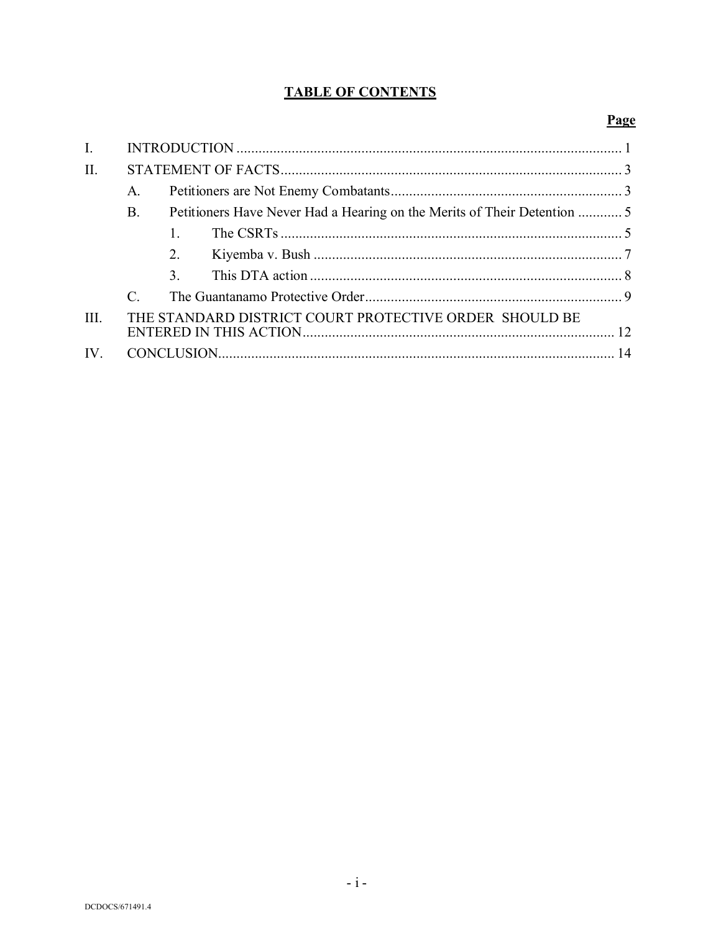# **TABLE OF CONTENTS**

# Page

| $\mathbf{I}$ . |                                                        |                |  |  |
|----------------|--------------------------------------------------------|----------------|--|--|
| II.            |                                                        |                |  |  |
|                | $A_{\cdot}$                                            |                |  |  |
|                | <b>B.</b>                                              |                |  |  |
|                |                                                        |                |  |  |
|                |                                                        | 2.             |  |  |
|                |                                                        | 3 <sub>1</sub> |  |  |
|                | $\mathcal{C}_{\mathcal{C}}$                            |                |  |  |
| III.           | THE STANDARD DISTRICT COURT PROTECTIVE ORDER SHOULD BE |                |  |  |
| $IV_{-}$       |                                                        |                |  |  |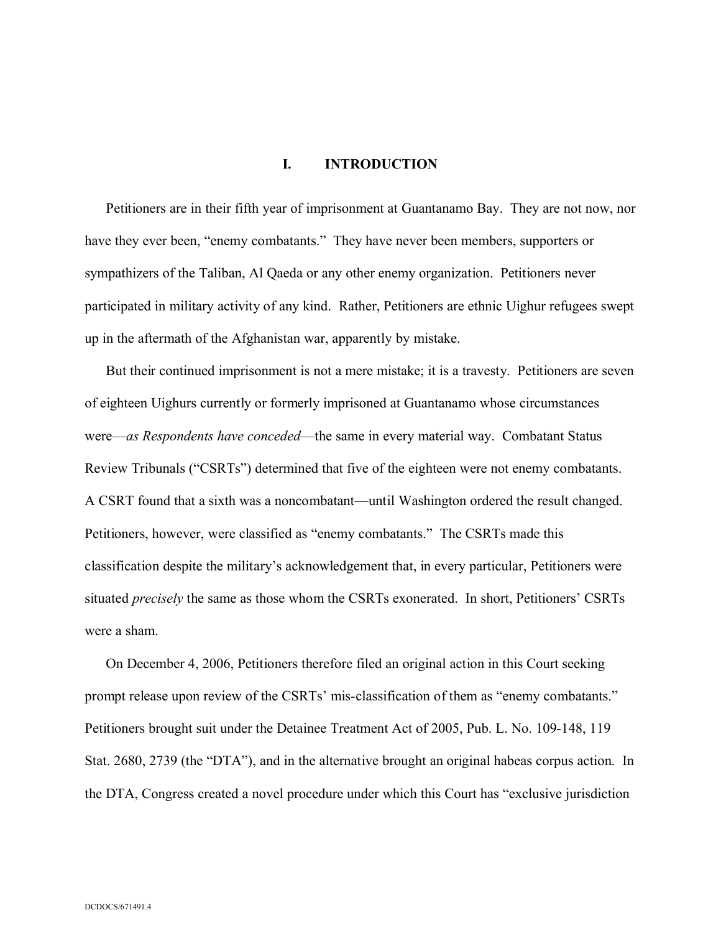## **I. INTRODUCTION**

Petitioners are in their fifth year of imprisonment at Guantanamo Bay. They are not now, nor have they ever been, "enemy combatants." They have never been members, supporters or sympathizers of the Taliban, Al Qaeda or any other enemy organization. Petitioners never participated in military activity of any kind. Rather, Petitioners are ethnic Uighur refugees swept up in the aftermath of the Afghanistan war, apparently by mistake.

But their continued imprisonment is not a mere mistake; it is a travesty. Petitioners are seven of eighteen Uighurs currently or formerly imprisoned at Guantanamo whose circumstances were—*as Respondents have conceded*—the same in every material way. Combatant Status Review Tribunals ("CSRTs") determined that five of the eighteen were not enemy combatants. A CSRT found that a sixth was a noncombatant—until Washington ordered the result changed. Petitioners, however, were classified as "enemy combatants." The CSRTs made this classification despite the military's acknowledgement that, in every particular, Petitioners were situated *precisely* the same as those whom the CSRTs exonerated. In short, Petitioners' CSRTs were a sham.

On December 4, 2006, Petitioners therefore filed an original action in this Court seeking prompt release upon review of the CSRTs' mis-classification of them as "enemy combatants." Petitioners brought suit under the Detainee Treatment Act of 2005, Pub. L. No. 109-148, 119 Stat. 2680, 2739 (the "DTA"), and in the alternative brought an original habeas corpus action. In the DTA, Congress created a novel procedure under which this Court has "exclusive jurisdiction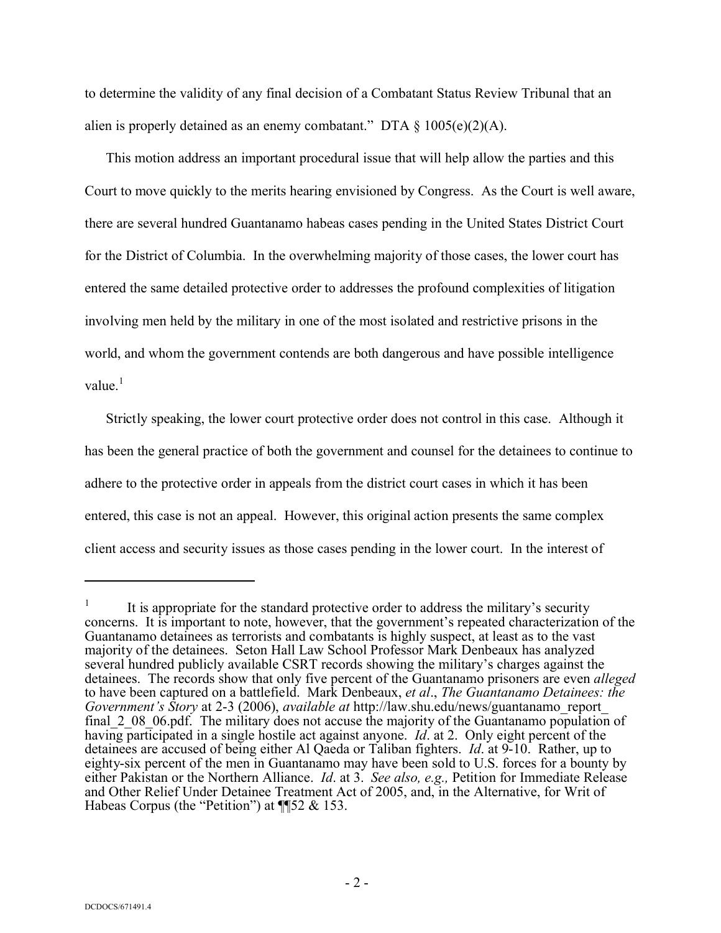to determine the validity of any final decision of a Combatant Status Review Tribunal that an alien is properly detained as an enemy combatant." DTA  $\S$  1005(e)(2)(A).

This motion address an important procedural issue that will help allow the parties and this Court to move quickly to the merits hearing envisioned by Congress. As the Court is well aware, there are several hundred Guantanamo habeas cases pending in the United States District Court for the District of Columbia. In the overwhelming majority of those cases, the lower court has entered the same detailed protective order to addresses the profound complexities of litigation involving men held by the military in one of the most isolated and restrictive prisons in the world, and whom the government contends are both dangerous and have possible intelligence value $<sup>1</sup>$ </sup>

Strictly speaking, the lower court protective order does not control in this case. Although it has been the general practice of both the government and counsel for the detainees to continue to adhere to the protective order in appeals from the district court cases in which it has been entered, this case is not an appeal. However, this original action presents the same complex client access and security issues as those cases pending in the lower court. In the interest of

<sup>1</sup> It is appropriate for the standard protective order to address the military's security concerns. It is important to note, however, that the government's repeated characterization of the Guantanamo detainees as terrorists and combatants is highly suspect, at least as to the vast majority of the detainees. Seton Hall Law School Professor Mark Denbeaux has analyzed several hundred publicly available CSRT records showing the military's charges against the detainees. The records show that only five percent of the Guantanamo prisoners are even *alleged* to have been captured on a battlefield. Mark Denbeaux, *et al*., *The Guantanamo Detainees: the Government's Story* at 2-3 (2006), *available at* http://law.shu.edu/news/guantanamo\_report\_ final\_2\_08\_06.pdf. The military does not accuse the majority of the Guantanamo population of having participated in a single hostile act against anyone. *Id*. at 2. Only eight percent of the detainees are accused of being either Al Qaeda or Taliban fighters. *Id*. at 9-10. Rather, up to eighty-six percent of the men in Guantanamo may have been sold to U.S. forces for a bounty by either Pakistan or the Northern Alliance. *Id*. at 3. *See also, e.g.,* Petition for Immediate Release and Other Relief Under Detainee Treatment Act of 2005, and, in the Alternative, for Writ of Habeas Corpus (the "Petition") at ¶¶52 & 153.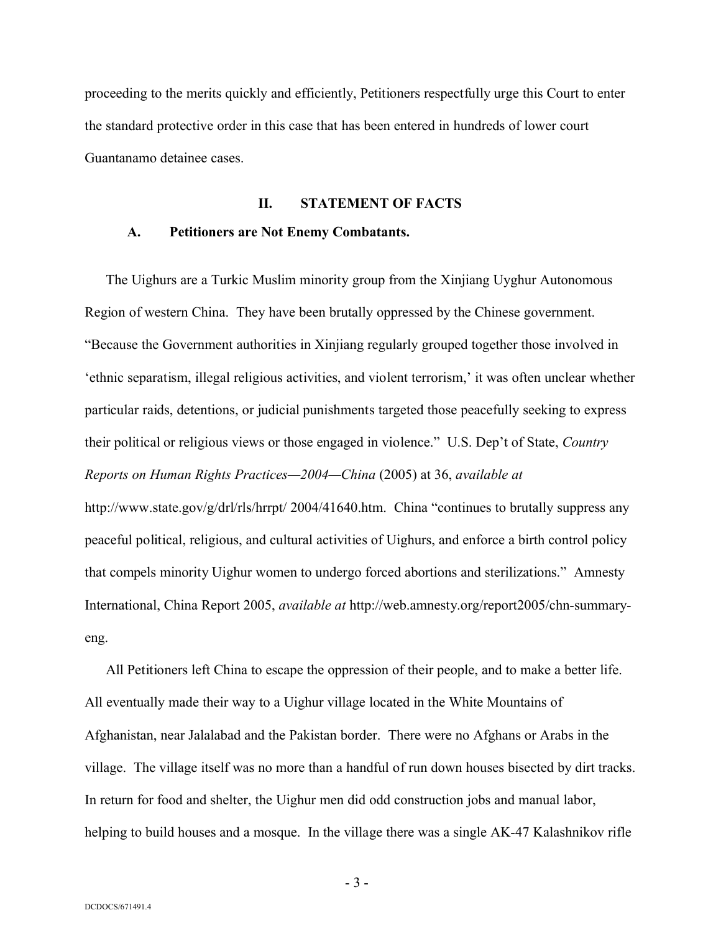proceeding to the merits quickly and efficiently, Petitioners respectfully urge this Court to enter the standard protective order in this case that has been entered in hundreds of lower court Guantanamo detainee cases.

### **II. STATEMENT OF FACTS**

#### **A. Petitioners are Not Enemy Combatants.**

The Uighurs are a Turkic Muslim minority group from the Xinjiang Uyghur Autonomous Region of western China. They have been brutally oppressed by the Chinese government. "Because the Government authorities in Xinjiang regularly grouped together those involved in 'ethnic separatism, illegal religious activities, and violent terrorism,' it was often unclear whether particular raids, detentions, or judicial punishments targeted those peacefully seeking to express their political or religious views or those engaged in violence." U.S. Dep't of State, *Country Reports on Human Rights Practices—2004—China* (2005) at 36, *available at*  http://www.state.gov/g/drl/rls/hrrpt/ 2004/41640.htm. China "continues to brutally suppress any peaceful political, religious, and cultural activities of Uighurs, and enforce a birth control policy that compels minority Uighur women to undergo forced abortions and sterilizations." Amnesty International, China Report 2005, *available at* http://web.amnesty.org/report2005/chn-summaryeng.

All Petitioners left China to escape the oppression of their people, and to make a better life. All eventually made their way to a Uighur village located in the White Mountains of Afghanistan, near Jalalabad and the Pakistan border. There were no Afghans or Arabs in the village. The village itself was no more than a handful of run down houses bisected by dirt tracks. In return for food and shelter, the Uighur men did odd construction jobs and manual labor, helping to build houses and a mosque. In the village there was a single AK-47 Kalashnikov rifle

- 3 -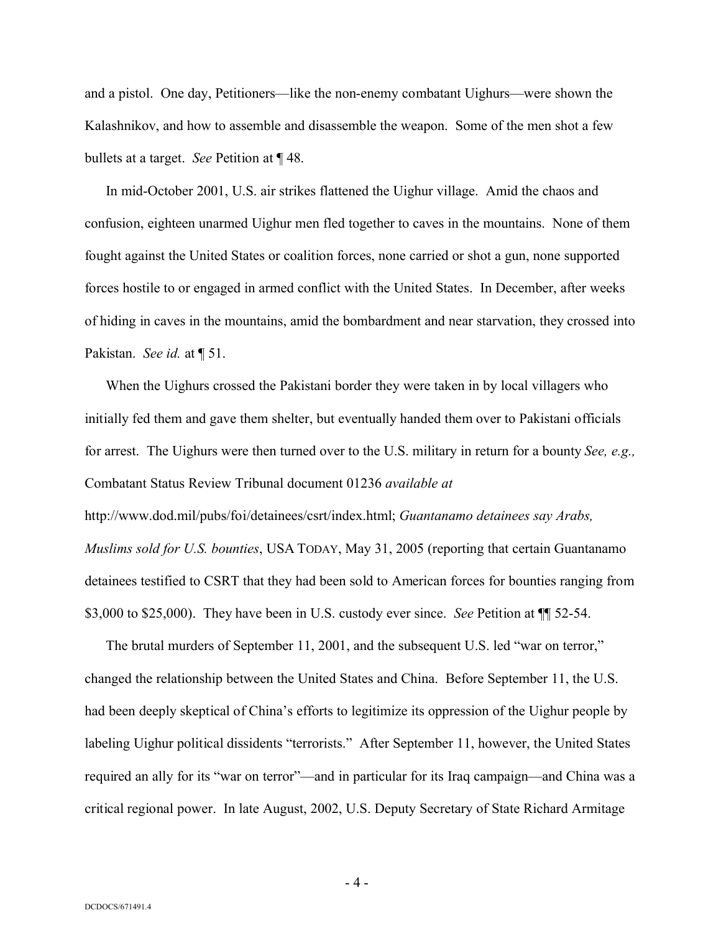and a pistol. One day, Petitioners—like the non-enemy combatant Uighurs—were shown the Kalashnikov, and how to assemble and disassemble the weapon. Some of the men shot a few bullets at a target. *See* Petition at ¶ 48.

In mid-October 2001, U.S. air strikes flattened the Uighur village. Amid the chaos and confusion, eighteen unarmed Uighur men fled together to caves in the mountains. None of them fought against the United States or coalition forces, none carried or shot a gun, none supported forces hostile to or engaged in armed conflict with the United States. In December, after weeks of hiding in caves in the mountains, amid the bombardment and near starvation, they crossed into Pakistan. *See id.* at ¶ 51.

When the Uighurs crossed the Pakistani border they were taken in by local villagers who initially fed them and gave them shelter, but eventually handed them over to Pakistani officials for arrest. The Uighurs were then turned over to the U.S. military in return for a bounty *See, e.g.,* Combatant Status Review Tribunal document 01236 *available at* http://www.dod.mil/pubs/foi/detainees/csrt/index.html; *Guantanamo detainees say Arabs, Muslims sold for U.S. bounties*, USA TODAY, May 31, 2005 (reporting that certain Guantanamo detainees testified to CSRT that they had been sold to American forces for bounties ranging from \$3,000 to \$25,000). They have been in U.S. custody ever since. *See* Petition at ¶¶ 52-54.

The brutal murders of September 11, 2001, and the subsequent U.S. led "war on terror," changed the relationship between the United States and China. Before September 11, the U.S. had been deeply skeptical of China's efforts to legitimize its oppression of the Uighur people by labeling Uighur political dissidents "terrorists." After September 11, however, the United States required an ally for its "war on terror"—and in particular for its Iraq campaign—and China was a critical regional power. In late August, 2002, U.S. Deputy Secretary of State Richard Armitage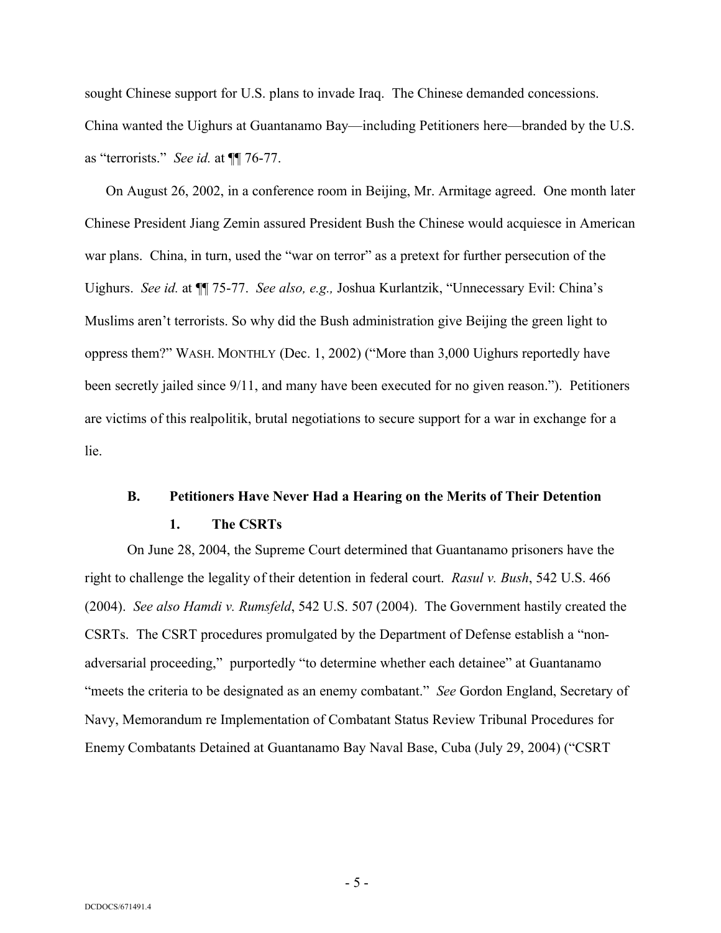sought Chinese support for U.S. plans to invade Iraq. The Chinese demanded concessions. China wanted the Uighurs at Guantanamo Bay—including Petitioners here—branded by the U.S. as "terrorists." *See id.* at ¶¶ 76-77.

On August 26, 2002, in a conference room in Beijing, Mr. Armitage agreed. One month later Chinese President Jiang Zemin assured President Bush the Chinese would acquiesce in American war plans. China, in turn, used the "war on terror" as a pretext for further persecution of the Uighurs. *See id.* at ¶¶ 75-77. *See also, e.g.,* Joshua Kurlantzik, "Unnecessary Evil: China's Muslims aren't terrorists. So why did the Bush administration give Beijing the green light to oppress them?" WASH. MONTHLY (Dec. 1, 2002) ("More than 3,000 Uighurs reportedly have been secretly jailed since 9/11, and many have been executed for no given reason."). Petitioners are victims of this realpolitik, brutal negotiations to secure support for a war in exchange for a lie.

## **B. Petitioners Have Never Had a Hearing on the Merits of Their Detention**

#### **1. The CSRTs**

On June 28, 2004, the Supreme Court determined that Guantanamo prisoners have the right to challenge the legality of their detention in federal court. *Rasul v. Bush*, 542 U.S. 466 (2004). *See also Hamdi v. Rumsfeld*, 542 U.S. 507 (2004). The Government hastily created the CSRTs. The CSRT procedures promulgated by the Department of Defense establish a "nonadversarial proceeding," purportedly "to determine whether each detainee" at Guantanamo "meets the criteria to be designated as an enemy combatant." *See* Gordon England, Secretary of Navy, Memorandum re Implementation of Combatant Status Review Tribunal Procedures for Enemy Combatants Detained at Guantanamo Bay Naval Base, Cuba (July 29, 2004) ("CSRT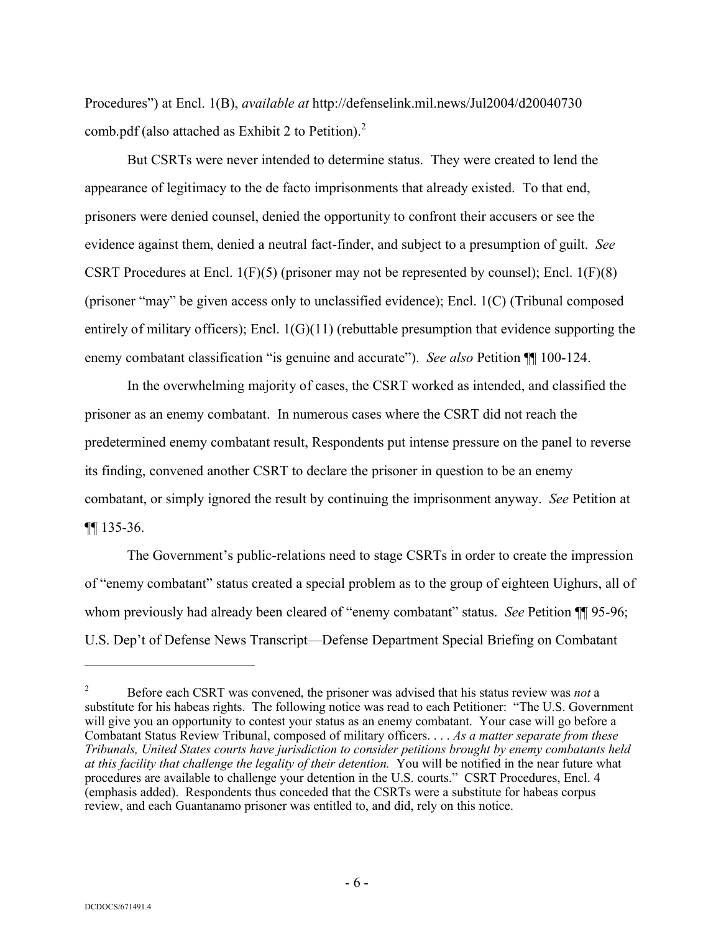Procedures") at Encl. 1(B), *available at* http://defenselink.mil.news/Jul2004/d20040730 comb.pdf (also attached as Exhibit 2 to Petition). 2

But CSRTs were never intended to determine status. They were created to lend the appearance of legitimacy to the de facto imprisonments that already existed. To that end, prisoners were denied counsel, denied the opportunity to confront their accusers or see the evidence against them, denied a neutral fact-finder, and subject to a presumption of guilt. *See* CSRT Procedures at Encl.  $1(F)(5)$  (prisoner may not be represented by counsel); Encl.  $1(F)(8)$ (prisoner "may" be given access only to unclassified evidence); Encl. 1(C) (Tribunal composed entirely of military officers); Encl. 1(G)(11) (rebuttable presumption that evidence supporting the enemy combatant classification "is genuine and accurate"). *See also* Petition ¶¶ 100-124.

In the overwhelming majority of cases, the CSRT worked as intended, and classified the prisoner as an enemy combatant. In numerous cases where the CSRT did not reach the predetermined enemy combatant result, Respondents put intense pressure on the panel to reverse its finding, convened another CSRT to declare the prisoner in question to be an enemy combatant, or simply ignored the result by continuing the imprisonment anyway. *See* Petition at ¶¶ 135-36.

The Government's public-relations need to stage CSRTs in order to create the impression of "enemy combatant" status created a special problem as to the group of eighteen Uighurs, all of whom previously had already been cleared of "enemy combatant" status. *See* Petition **[1**] 95-96; U.S. Dep't of Defense News Transcript—Defense Department Special Briefing on Combatant

<sup>2</sup> Before each CSRT was convened, the prisoner was advised that his status review was *not* a substitute for his habeas rights. The following notice was read to each Petitioner: "The U.S. Government will give you an opportunity to contest your status as an enemy combatant. Your case will go before a Combatant Status Review Tribunal, composed of military officers. . . . *As a matter separate from these Tribunals, United States courts have jurisdiction to consider petitions brought by enemy combatants held at this facility that challenge the legality of their detention.* You will be notified in the near future what procedures are available to challenge your detention in the U.S. courts." CSRT Procedures, Encl. 4 (emphasis added). Respondents thus conceded that the CSRTs were a substitute for habeas corpus review, and each Guantanamo prisoner was entitled to, and did, rely on this notice.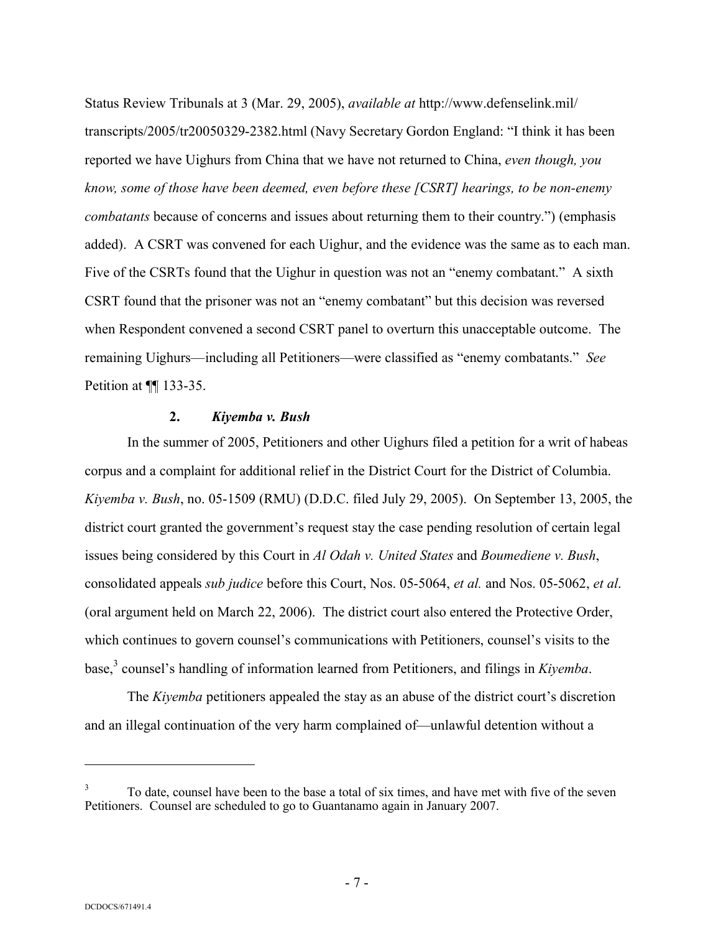Status Review Tribunals at 3 (Mar. 29, 2005), *available at* http://www.defenselink.mil/ transcripts/2005/tr20050329-2382.html (Navy Secretary Gordon England: "I think it has been reported we have Uighurs from China that we have not returned to China, *even though, you know, some of those have been deemed, even before these [CSRT] hearings, to be non-enemy combatants* because of concerns and issues about returning them to their country.") (emphasis added). A CSRT was convened for each Uighur, and the evidence was the same as to each man. Five of the CSRTs found that the Uighur in question was not an "enemy combatant." A sixth CSRT found that the prisoner was not an "enemy combatant" but this decision was reversed when Respondent convened a second CSRT panel to overturn this unacceptable outcome. The remaining Uighurs—including all Petitioners—were classified as "enemy combatants." *See*  Petition at ¶[ 133-35.

## **2.** *Kiyemba v. Bush*

In the summer of 2005, Petitioners and other Uighurs filed a petition for a writ of habeas corpus and a complaint for additional relief in the District Court for the District of Columbia. *Kiyemba v. Bush*, no. 05-1509 (RMU) (D.D.C. filed July 29, 2005). On September 13, 2005, the district court granted the government's request stay the case pending resolution of certain legal issues being considered by this Court in *Al Odah v. United States* and *Boumediene v. Bush*, consolidated appeals *sub judice* before this Court, Nos. 05-5064, *et al.* and Nos. 05-5062, *et al*. (oral argument held on March 22, 2006). The district court also entered the Protective Order, which continues to govern counsel's communications with Petitioners, counsel's visits to the base, 3 counsel's handling of information learned from Petitioners, and filings in *Kiyemba*.

The *Kiyemba* petitioners appealed the stay as an abuse of the district court's discretion and an illegal continuation of the very harm complained of—unlawful detention without a

<sup>3</sup> To date, counsel have been to the base a total of six times, and have met with five of the seven Petitioners. Counsel are scheduled to go to Guantanamo again in January 2007.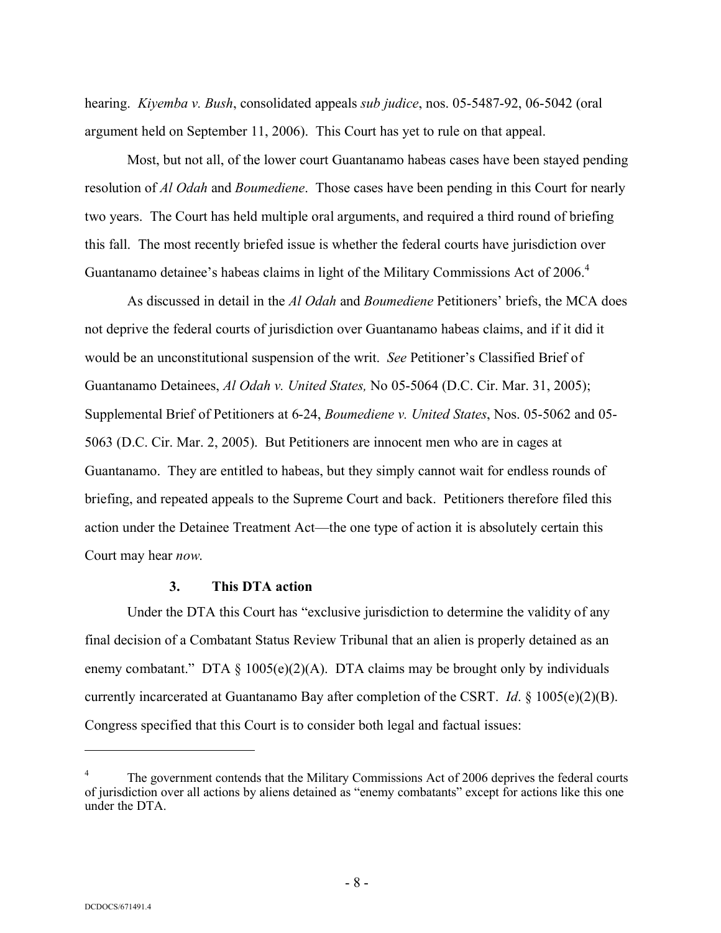hearing. *Kiyemba v. Bush*, consolidated appeals *sub judice*, nos. 05-5487-92, 06-5042 (oral argument held on September 11, 2006). This Court has yet to rule on that appeal.

Most, but not all, of the lower court Guantanamo habeas cases have been stayed pending resolution of *Al Odah* and *Boumediene*. Those cases have been pending in this Court for nearly two years. The Court has held multiple oral arguments, and required a third round of briefing this fall. The most recently briefed issue is whether the federal courts have jurisdiction over Guantanamo detainee's habeas claims in light of the Military Commissions Act of 2006.<sup>4</sup>

As discussed in detail in the *Al Odah* and *Boumediene* Petitioners' briefs, the MCA does not deprive the federal courts of jurisdiction over Guantanamo habeas claims, and if it did it would be an unconstitutional suspension of the writ. *See* Petitioner's Classified Brief of Guantanamo Detainees, *Al Odah v. United States,* No 05-5064 (D.C. Cir. Mar. 31, 2005); Supplemental Brief of Petitioners at 6-24, *Boumediene v. United States*, Nos. 05-5062 and 05- 5063 (D.C. Cir. Mar. 2, 2005). But Petitioners are innocent men who are in cages at Guantanamo. They are entitled to habeas, but they simply cannot wait for endless rounds of briefing, and repeated appeals to the Supreme Court and back. Petitioners therefore filed this action under the Detainee Treatment Act—the one type of action it is absolutely certain this Court may hear *now*.

#### **3. This DTA action**

Under the DTA this Court has "exclusive jurisdiction to determine the validity of any final decision of a Combatant Status Review Tribunal that an alien is properly detained as an enemy combatant." DTA  $\S$  1005(e)(2)(A). DTA claims may be brought only by individuals currently incarcerated at Guantanamo Bay after completion of the CSRT. *Id*. § 1005(e)(2)(B). Congress specified that this Court is to consider both legal and factual issues:

The government contends that the Military Commissions Act of 2006 deprives the federal courts of jurisdiction over all actions by aliens detained as "enemy combatants" except for actions like this one under the DTA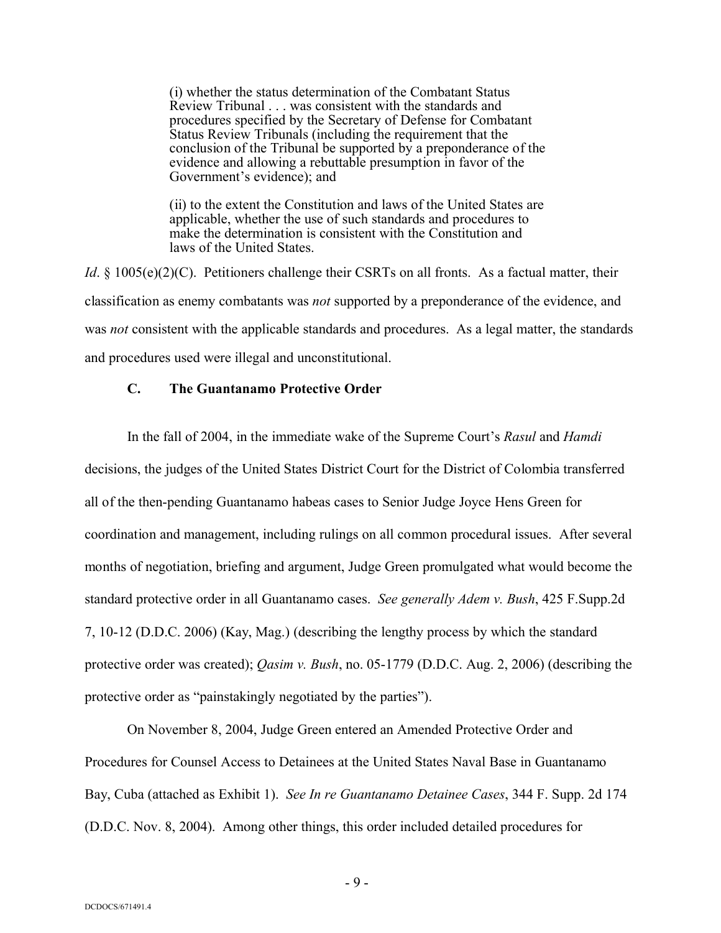(i) whether the status determination of the Combatant Status Review Tribunal . . . was consistent with the standards and procedures specified by the Secretary of Defense for Combatant Status Review Tribunals (including the requirement that the conclusion of the Tribunal be supported by a preponderance of the evidence and allowing a rebuttable presumption in favor of the Government's evidence); and

(ii) to the extent the Constitution and laws of the United States are applicable, whether the use of such standards and procedures to make the determination is consistent with the Constitution and laws of the United States.

*Id*. § 1005(e)(2)(C). Petitioners challenge their CSRTs on all fronts. As a factual matter, their classification as enemy combatants was *not* supported by a preponderance of the evidence, and was *not* consistent with the applicable standards and procedures. As a legal matter, the standards and procedures used were illegal and unconstitutional.

### **C. The Guantanamo Protective Order**

In the fall of 2004, in the immediate wake of the Supreme Court's *Rasul* and *Hamdi* decisions, the judges of the United States District Court for the District of Colombia transferred all of the then-pending Guantanamo habeas cases to Senior Judge Joyce Hens Green for coordination and management, including rulings on all common procedural issues. After several months of negotiation, briefing and argument, Judge Green promulgated what would become the standard protective order in all Guantanamo cases. *See generally Adem v. Bush*, 425 F.Supp.2d 7, 10-12 (D.D.C. 2006) (Kay, Mag.) (describing the lengthy process by which the standard protective order was created); *Qasim v. Bush*, no. 05-1779 (D.D.C. Aug. 2, 2006) (describing the protective order as "painstakingly negotiated by the parties").

On November 8, 2004, Judge Green entered an Amended Protective Order and Procedures for Counsel Access to Detainees at the United States Naval Base in Guantanamo Bay, Cuba (attached as Exhibit 1). *See In re Guantanamo Detainee Cases*, 344 F. Supp. 2d 174 (D.D.C. Nov. 8, 2004). Among other things, this order included detailed procedures for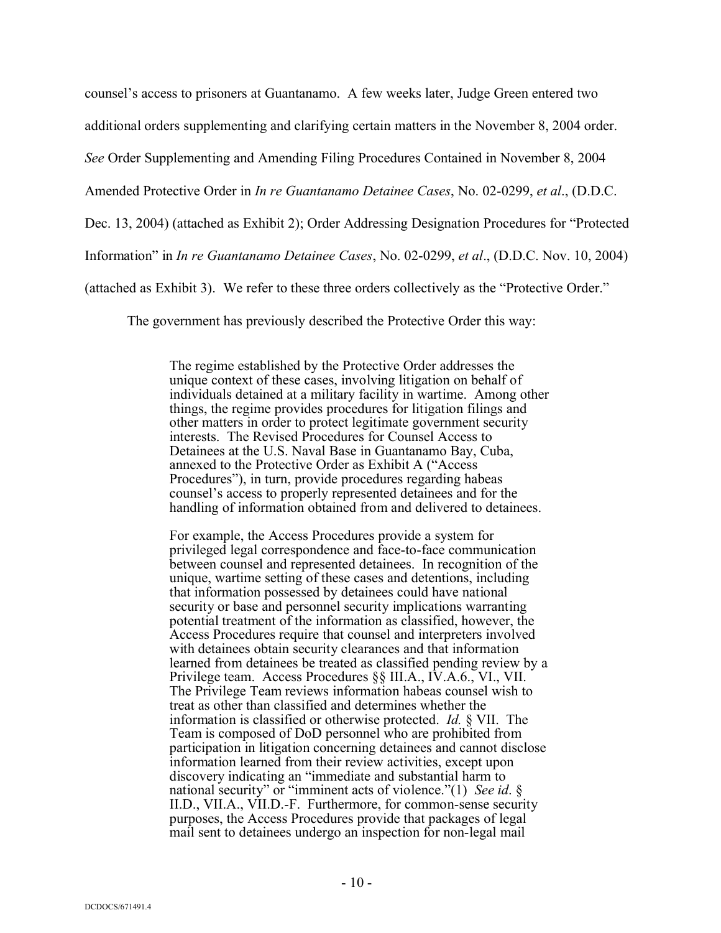counsel's access to prisoners at Guantanamo. A few weeks later, Judge Green entered two

additional orders supplementing and clarifying certain matters in the November 8, 2004 order.

*See* Order Supplementing and Amending Filing Procedures Contained in November 8, 2004

Amended Protective Order in *In re Guantanamo Detainee Cases*, No. 02-0299, *et al*., (D.D.C.

Dec. 13, 2004) (attached as Exhibit 2); Order Addressing Designation Procedures for "Protected

Information" in *In re Guantanamo Detainee Cases*, No. 02-0299, *et al*., (D.D.C. Nov. 10, 2004)

(attached as Exhibit 3). We refer to these three orders collectively as the "Protective Order."

The government has previously described the Protective Order this way:

The regime established by the Protective Order addresses the unique context of these cases, involving litigation on behalf of individuals detained at a military facility in wartime. Among other things, the regime provides procedures for litigation filings and other matters in order to protect legitimate government security interests. The Revised Procedures for Counsel Access to Detainees at the U.S. Naval Base in Guantanamo Bay, Cuba, annexed to the Protective Order as Exhibit A ("Access Procedures"), in turn, provide procedures regarding habeas counsel's access to properly represented detainees and for the handling of information obtained from and delivered to detainees.

For example, the Access Procedures provide a system for privileged legal correspondence and face-to-face communication between counsel and represented detainees. In recognition of the unique, wartime setting of these cases and detentions, including that information possessed by detainees could have national security or base and personnel security implications warranting potential treatment of the information as classified, however, the Access Procedures require that counsel and interpreters involved with detainees obtain security clearances and that information learned from detainees be treated as classified pending review by a Privilege team. Access Procedures §§ III.A., IV.A.6., VI., VII. The Privilege Team reviews information habeas counsel wish to treat as other than classified and determines whether the information is classified or otherwise protected. *Id.* § VII. The Team is composed of DoD personnel who are prohibited from participation in litigation concerning detainees and cannot disclose information learned from their review activities, except upon discovery indicating an "immediate and substantial harm to national security" or "imminent acts of violence."(1) *See id*. § II.D., VII.A., VII.D.-F. Furthermore, for common-sense security purposes, the Access Procedures provide that packages of legal mail sent to detainees undergo an inspection for non-legal mail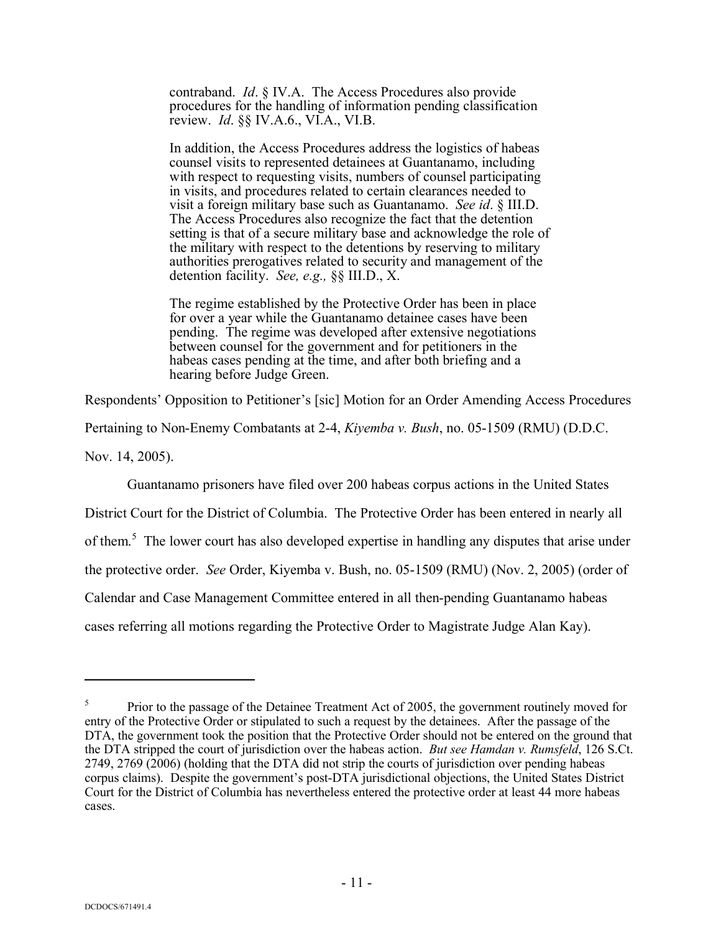contraband. *Id*. § IV.A. The Access Procedures also provide procedures for the handling of information pending classification review. *Id*. §§ IV.A.6., VI.A., VI.B.

In addition, the Access Procedures address the logistics of habeas counsel visits to represented detainees at Guantanamo, including with respect to requesting visits, numbers of counsel participating in visits, and procedures related to certain clearances needed to visit a foreign military base such as Guantanamo. *See id*. § III.D. The Access Procedures also recognize the fact that the detention setting is that of a secure military base and acknowledge the role of the military with respect to the detentions by reserving to military authorities prerogatives related to security and management of the detention facility. *See, e.g.,* §§ III.D., X.

The regime established by the Protective Order has been in place for over a year while the Guantanamo detainee cases have been pending. The regime was developed after extensive negotiations between counsel for the government and for petitioners in the habeas cases pending at the time, and after both briefing and a hearing before Judge Green.

Respondents' Opposition to Petitioner's [sic] Motion for an Order Amending Access Procedures

Pertaining to Non-Enemy Combatants at 2-4, *Kiyemba v. Bush*, no. 05-1509 (RMU) (D.D.C.

Nov. 14, 2005).

Guantanamo prisoners have filed over 200 habeas corpus actions in the United States

District Court for the District of Columbia. The Protective Order has been entered in nearly all of them.<sup>5</sup> The lower court has also developed expertise in handling any disputes that arise under the protective order. *See* Order, Kiyemba v. Bush, no. 05-1509 (RMU) (Nov. 2, 2005) (order of Calendar and Case Management Committee entered in all then-pending Guantanamo habeas cases referring all motions regarding the Protective Order to Magistrate Judge Alan Kay).

<sup>5</sup> Prior to the passage of the Detainee Treatment Act of 2005, the government routinely moved for entry of the Protective Order or stipulated to such a request by the detainees. After the passage of the DTA, the government took the position that the Protective Order should not be entered on the ground that the DTA stripped the court of jurisdiction over the habeas action. *But see Hamdan v. Rumsfeld*, 126 S.Ct. 2749, 2769 (2006) (holding that the DTA did not strip the courts of jurisdiction over pending habeas corpus claims). Despite the government's post-DTA jurisdictional objections, the United States District Court for the District of Columbia has nevertheless entered the protective order at least 44 more habeas cases.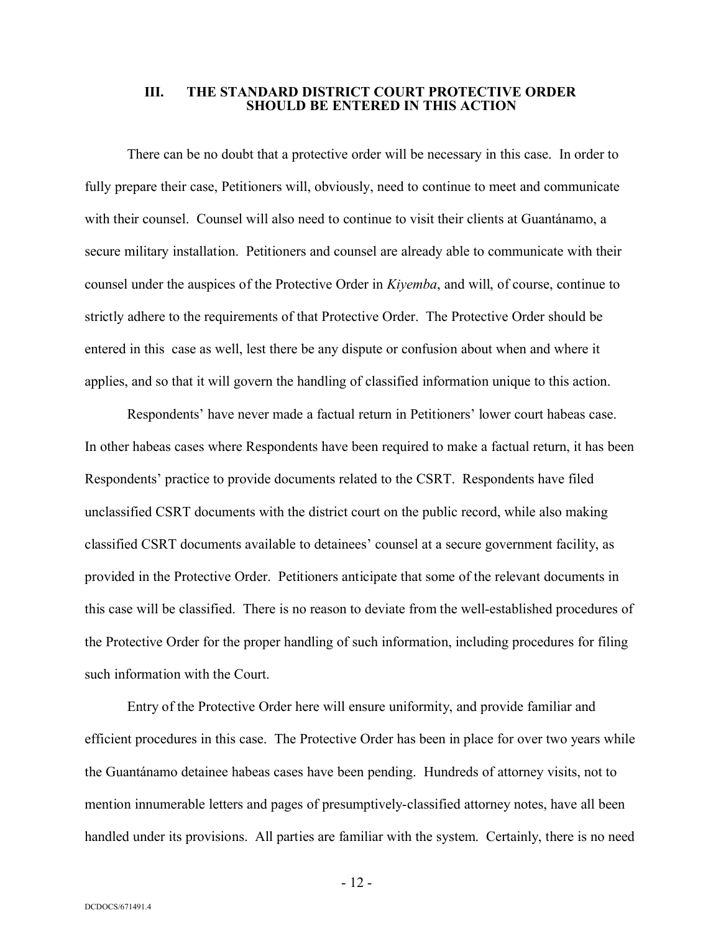#### **III. THE STANDARD DISTRICT COURT PROTECTIVE ORDER SHOULD BE ENTERED IN THIS ACTION**

There can be no doubt that a protective order will be necessary in this case. In order to fully prepare their case, Petitioners will, obviously, need to continue to meet and communicate with their counsel. Counsel will also need to continue to visit their clients at Guantánamo, a secure military installation. Petitioners and counsel are already able to communicate with their counsel under the auspices of the Protective Order in *Kiyemba*, and will, of course, continue to strictly adhere to the requirements of that Protective Order. The Protective Order should be entered in this case as well, lest there be any dispute or confusion about when and where it applies, and so that it will govern the handling of classified information unique to this action.

Respondents' have never made a factual return in Petitioners' lower court habeas case. In other habeas cases where Respondents have been required to make a factual return, it has been Respondents' practice to provide documents related to the CSRT. Respondents have filed unclassified CSRT documents with the district court on the public record, while also making classified CSRT documents available to detainees' counsel at a secure government facility, as provided in the Protective Order. Petitioners anticipate that some of the relevant documents in this case will be classified. There is no reason to deviate from the well-established procedures of the Protective Order for the proper handling of such information, including procedures for filing such information with the Court.

Entry of the Protective Order here will ensure uniformity, and provide familiar and efficient procedures in this case. The Protective Order has been in place for over two years while the Guantánamo detainee habeas cases have been pending. Hundreds of attorney visits, not to mention innumerable letters and pages of presumptively-classified attorney notes, have all been handled under its provisions. All parties are familiar with the system. Certainly, there is no need

- 12 -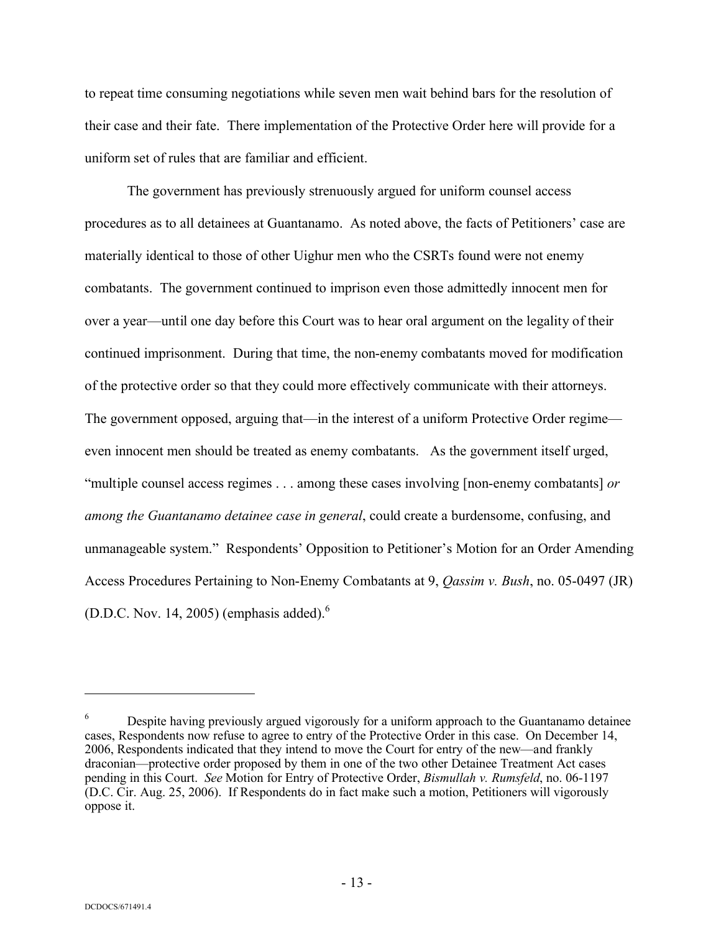to repeat time consuming negotiations while seven men wait behind bars for the resolution of their case and their fate. There implementation of the Protective Order here will provide for a uniform set of rules that are familiar and efficient.

The government has previously strenuously argued for uniform counsel access procedures as to all detainees at Guantanamo. As noted above, the facts of Petitioners' case are materially identical to those of other Uighur men who the CSRTs found were not enemy combatants. The government continued to imprison even those admittedly innocent men for over a year—until one day before this Court was to hear oral argument on the legality of their continued imprisonment. During that time, the non-enemy combatants moved for modification of the protective order so that they could more effectively communicate with their attorneys. The government opposed, arguing that—in the interest of a uniform Protective Order regime even innocent men should be treated as enemy combatants. As the government itself urged, "multiple counsel access regimes . . . among these cases involving [non-enemy combatants] *or among the Guantanamo detainee case in general*, could create a burdensome, confusing, and unmanageable system." Respondents' Opposition to Petitioner's Motion for an Order Amending Access Procedures Pertaining to Non-Enemy Combatants at 9, *Qassim v. Bush*, no. 05-0497 (JR) (D.D.C. Nov. 14, 2005) (emphasis added). $<sup>6</sup>$ </sup>

<sup>&</sup>lt;sup>6</sup> Despite having previously argued vigorously for a uniform approach to the Guantanamo detainee cases, Respondents now refuse to agree to entry of the Protective Order in this case. On December 14, 2006, Respondents indicated that they intend to move the Court for entry of the new—and frankly draconian—protective order proposed by them in one of the two other Detainee Treatment Act cases pending in this Court. *See* Motion for Entry of Protective Order, *Bismullah v. Rumsfeld*, no. 06-1197 (D.C. Cir. Aug. 25, 2006). If Respondents do in fact make such a motion, Petitioners will vigorously oppose it.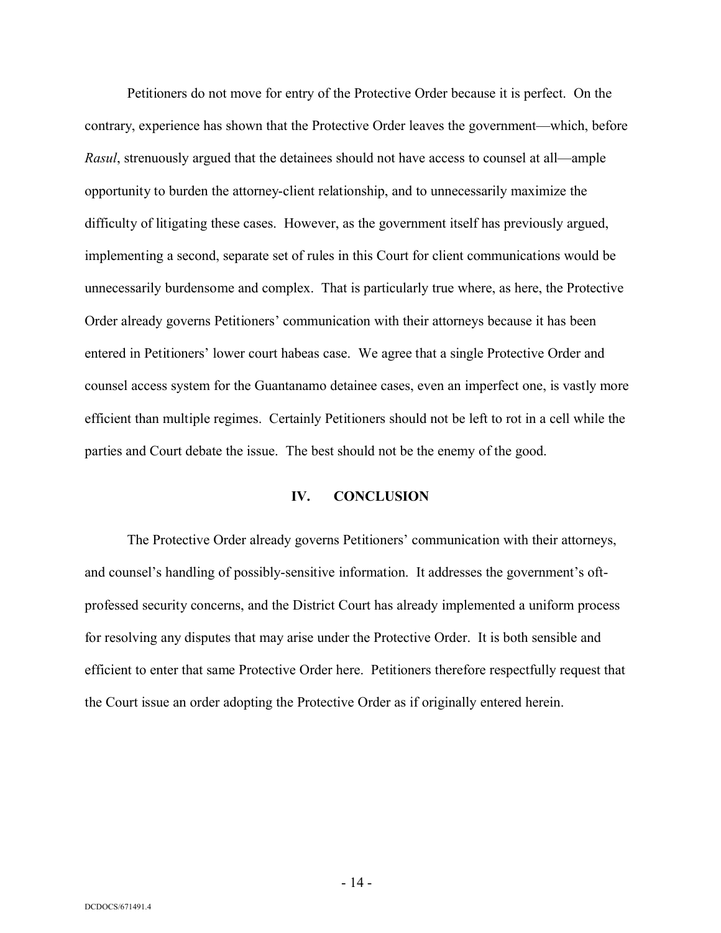Petitioners do not move for entry of the Protective Order because it is perfect. On the contrary, experience has shown that the Protective Order leaves the government—which, before *Rasul*, strenuously argued that the detainees should not have access to counsel at all—ample opportunity to burden the attorney-client relationship, and to unnecessarily maximize the difficulty of litigating these cases. However, as the government itself has previously argued, implementing a second, separate set of rules in this Court for client communications would be unnecessarily burdensome and complex. That is particularly true where, as here, the Protective Order already governs Petitioners' communication with their attorneys because it has been entered in Petitioners' lower court habeas case. We agree that a single Protective Order and counsel access system for the Guantanamo detainee cases, even an imperfect one, is vastly more efficient than multiple regimes. Certainly Petitioners should not be left to rot in a cell while the parties and Court debate the issue. The best should not be the enemy of the good.

#### **IV. CONCLUSION**

The Protective Order already governs Petitioners' communication with their attorneys, and counsel's handling of possibly-sensitive information. It addresses the government's oftprofessed security concerns, and the District Court has already implemented a uniform process for resolving any disputes that may arise under the Protective Order. It is both sensible and efficient to enter that same Protective Order here. Petitioners therefore respectfully request that the Court issue an order adopting the Protective Order as if originally entered herein.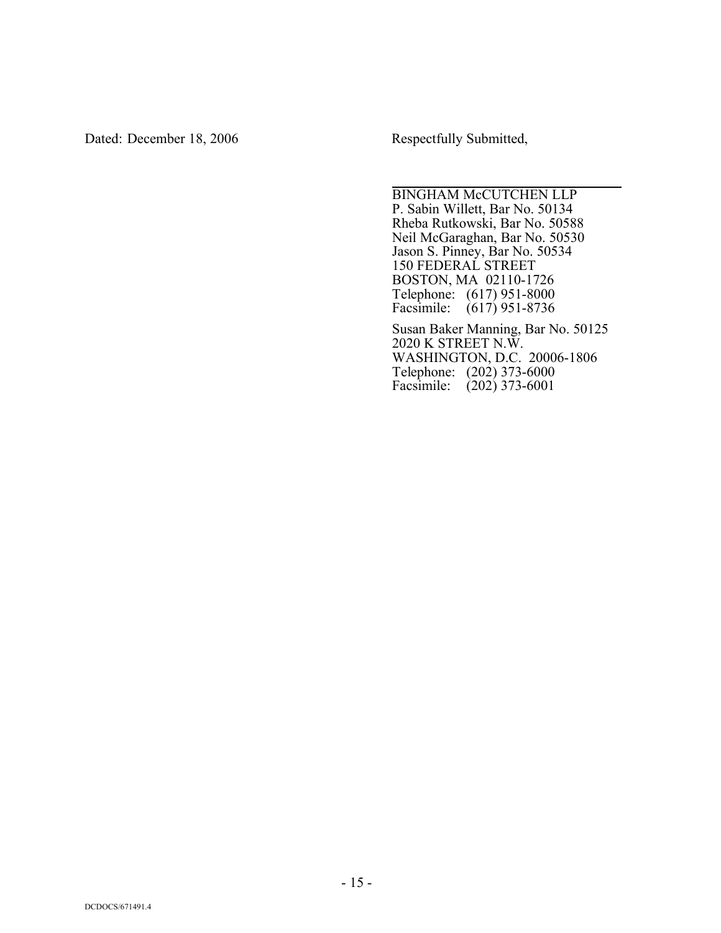Dated: December 18, 2006 Respectfully Submitted,

BINGHAM McCUTCHEN LLP P. Sabin Willett, Bar No. 50134 Rheba Rutkowski, Bar No. 50588 Neil McGaraghan, Bar No. 50530 Jason S. Pinney, Bar No. 50534 150 FEDERAL STREET BOSTON, MA 02110-1726 Telephone: (617) 951-8000 Facsimile: (617) 951-8736

Susan Baker Manning, Bar No. 50125 2020 K STREET N.W. WASHINGTON, D.C. 20006-1806 Telephone: (202) 373-6000 Facsimile: (202) 373-6001